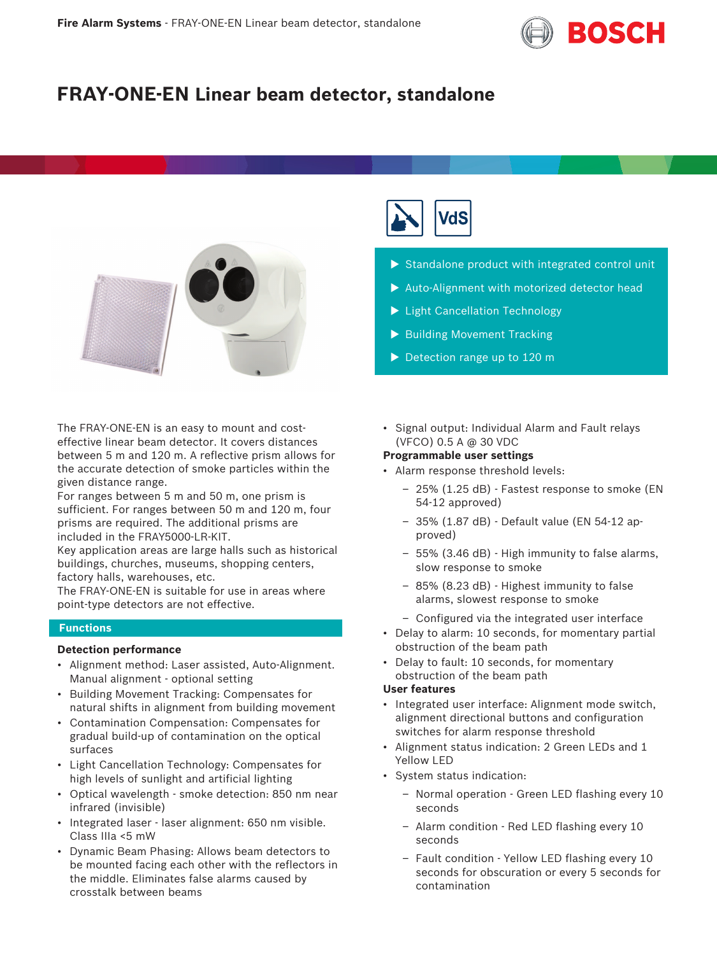

# **FRAY-ONE-EN Linear beam detector, standalone**



The FRAY-ONE-EN is an easy to mount and costeffective linear beam detector. It covers distances between 5 m and 120 m. A reflective prism allows for the accurate detection of smoke particles within the given distance range.

For ranges between 5 m and 50 m, one prism is sufficient. For ranges between 50 m and 120 m, four prisms are required. The additional prisms are included in the FRAY5000-LR-KIT.

Key application areas are large halls such as historical buildings, churches, museums, shopping centers, factory halls, warehouses, etc.

The FRAY-ONE-EN is suitable for use in areas where point-type detectors are not effective.

### **Functions**

# **Detection performance**

- Alignment method: Laser assisted, Auto-Alignment. Manual alignment - optional setting
- Building Movement Tracking: Compensates for natural shifts in alignment from building movement
- Contamination Compensation: Compensates for gradual build-up of contamination on the optical surfaces
- Light Cancellation Technology: Compensates for high levels of sunlight and artificial lighting
- Optical wavelength smoke detection: 850 nm near infrared (invisible)
- Integrated laser laser alignment: 650 nm visible. Class IIIa <5 mW
- Dynamic Beam Phasing: Allows beam detectors to be mounted facing each other with the reflectors in the middle. Eliminates false alarms caused by crosstalk between beams



- $\triangleright$  Standalone product with integrated control unit
- $\blacktriangleright$  Auto-Alignment with motorized detector head
- $\blacktriangleright$  Light Cancellation Technology
- $\blacktriangleright$  Building Movement Tracking
- $\blacktriangleright$  Detection range up to 120 m
- Signal output: Individual Alarm and Fault relays (VFCO) 0.5 A @ 30 VDC

#### **Programmable user settings**

- Alarm response threshold levels:
	- 25% (1.25 dB) Fastest response to smoke (EN 54-12 approved)
	- 35% (1.87 dB) Default value (EN 54-12 approved)
	- 55% (3.46 dB) High immunity to false alarms, slow response to smoke
	- 85% (8.23 dB) Highest immunity to false alarms, slowest response to smoke
	- Configured via the integrated user interface
- Delay to alarm: 10 seconds, for momentary partial obstruction of the beam path
- Delay to fault: 10 seconds, for momentary obstruction of the beam path

# **User features**

- Integrated user interface: Alignment mode switch, alignment directional buttons and configuration switches for alarm response threshold
- Alignment status indication: 2 Green LEDs and 1 Yellow LED
- System status indication:
	- Normal operation Green LED flashing every 10 seconds
	- Alarm condition Red LED flashing every 10 seconds
	- Fault condition Yellow LED flashing every 10 seconds for obscuration or every 5 seconds for contamination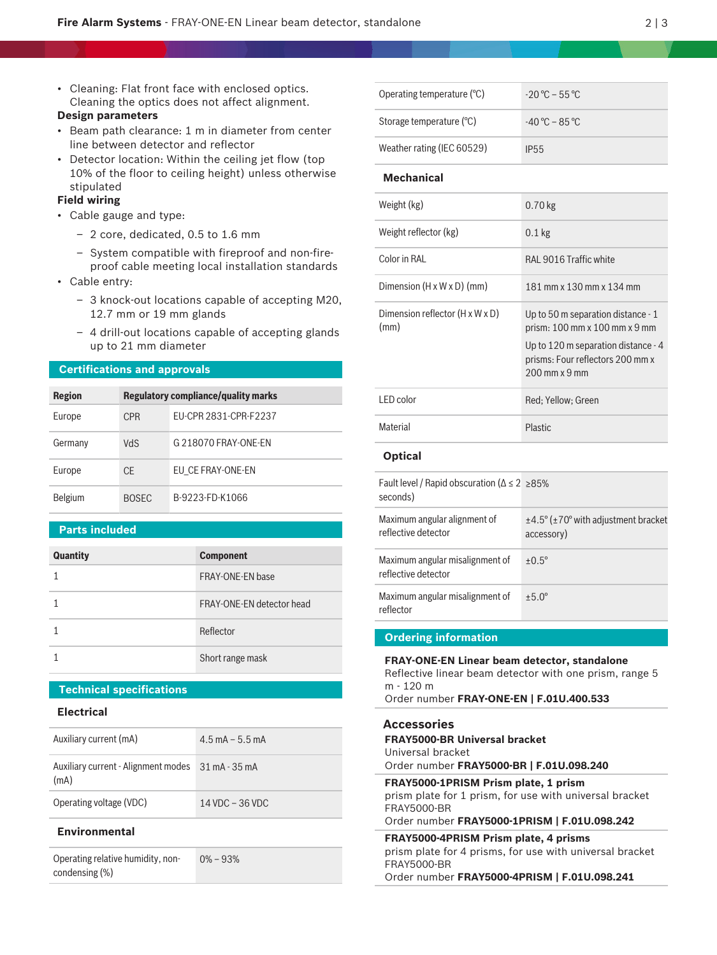• Cleaning: Flat front face with enclosed optics. Cleaning the optics does not affect alignment.

# **Design parameters**

- Beam path clearance: 1 m in diameter from center line between detector and reflector
- Detector location: Within the ceiling jet flow (top 10% of the floor to ceiling height) unless otherwise stipulated

#### **Field wiring**

- Cable gauge and type:
	- 2 core, dedicated, 0.5 to 1.6 mm
	- System compatible with fireproof and non-fireproof cable meeting local installation standards
- Cable entry:
	- 3 knock-out locations capable of accepting M20, 12.7 mm or 19 mm glands
	- 4 drill-out locations capable of accepting glands up to 21 mm diameter

#### **Certifications and approvals**

| <b>Region</b> | <b>Regulatory compliance/quality marks</b> |                       |
|---------------|--------------------------------------------|-----------------------|
| Europe        | <b>CPR</b>                                 | FU-CPR 2831-CPR-F2237 |
| Germany       | <b>NdS</b>                                 | G 218070 FRAY-ONE-FN  |
| Europe        | <b>CE</b>                                  | EU CE FRAY-ONE-EN     |
| Belgium       | <b>BOSEC</b>                               | B-9223-FD-K1066       |

### **Parts included**

| <b>Quantity</b> | <b>Component</b>          |
|-----------------|---------------------------|
|                 | FRAY-ONE-FN base          |
|                 | FRAY-ONE-EN detector head |
|                 | Reflector                 |
|                 | Short range mask          |

# **Technical specifications**

### **Electrical**

| Auxiliary current (mA)                                    | $4.5 \text{ mA} - 5.5 \text{ mA}$ |
|-----------------------------------------------------------|-----------------------------------|
| Auxiliary current - Alignment modes 31 mA - 35 mA<br>(mA) |                                   |
| Operating voltage (VDC)                                   | 14 VDC - 36 VDC                   |

#### **Environmental**

Operating relative humidity, noncondensing (%) 0% – 93%

| Operating temperature (°C) | $-20^{\circ}$ C – 55 °C                         |
|----------------------------|-------------------------------------------------|
| Storage temperature (°C)   | $-40\,^{\circ}\text{C}$ – 85 $^{\circ}\text{C}$ |
| Weather rating (IEC 60529) | <b>IP55</b>                                     |

#### **Mechanical**

| Weight (kg)                             | $0.70$ kg                                                                                                                                                         |
|-----------------------------------------|-------------------------------------------------------------------------------------------------------------------------------------------------------------------|
| Weight reflector (kg)                   | $0.1$ kg                                                                                                                                                          |
| Color in RAI                            | RAL 9016 Traffic white                                                                                                                                            |
| Dimension $(H \times W \times D)$ (mm)  | 181 mm x 130 mm x 134 mm                                                                                                                                          |
| Dimension reflector (H x W x D)<br>(mm) | Up to 50 m separation distance $-1$<br>prism: 100 mm x 100 mm x 9 mm<br>Up to 120 m separation distance $-4$<br>prisms: Four reflectors 200 mm x<br>200 mm x 9 mm |
| LED color                               | Red: Yellow: Green                                                                                                                                                |
| Material                                | Plastic                                                                                                                                                           |
|                                         |                                                                                                                                                                   |

### **Optical**

| Fault level / Rapid obscuration ( $\Delta \leq 2$ > 85%<br>seconds) |                                                                                |
|---------------------------------------------------------------------|--------------------------------------------------------------------------------|
| Maximum angular alignment of<br>reflective detector                 | $\pm$ 4.5 $\degree$ ( $\pm$ 70 $\degree$ with adjustment bracket<br>accessory) |
| Maximum angular misalignment of<br>reflective detector              | $+0.5^{\circ}$                                                                 |
| Maximum angular misalignment of<br>reflector                        | $+5.0^{\circ}$                                                                 |

#### **Ordering information**

# **FRAY-ONE-EN Linear beam detector, standalone** Reflective linear beam detector with one prism, range 5 m - 120 m Order number **FRAY-ONE-EN | F.01U.400.533**

# **Accessories**

| <b>FRAY5000-BR Universal bracket</b><br>Universal bracket<br>Order number FRAY5000-BR   F.01U.098.240                                                                 |
|-----------------------------------------------------------------------------------------------------------------------------------------------------------------------|
| FRAY5000-1PRISM Prism plate, 1 prism<br>prism plate for 1 prism, for use with universal bracket<br><b>FRAY5000-BR</b><br>Order number FRAY5000-1PRISM   F.01U.098.242 |
| FRAY5000-4PRISM Prism plate, 4 prisms<br>prism plate for 4 prisms, for use with universal bracket<br><b>FRAY5000-BR</b>                                               |

Order number **FRAY5000-4PRISM | F.01U.098.241**